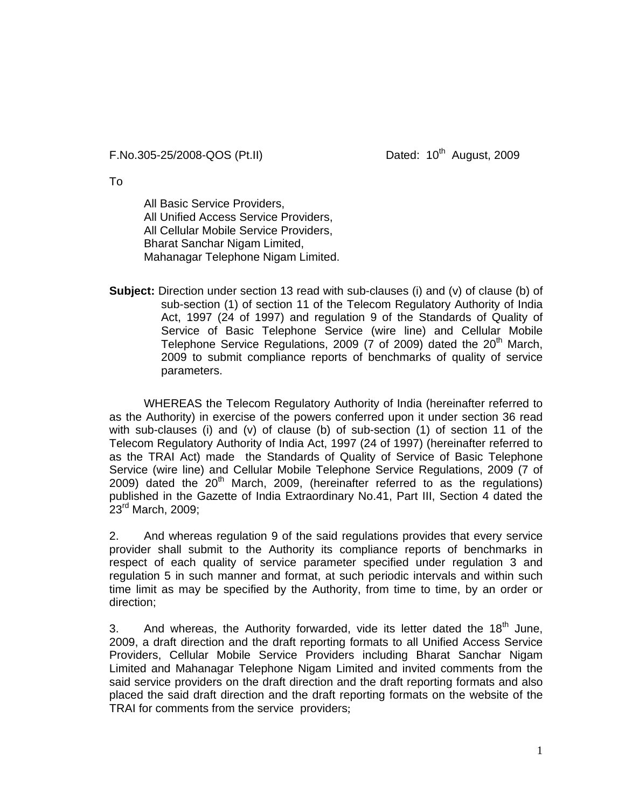## F.No.305-25/2008-QOS (Pt.II) Dated: 10<sup>th</sup> August, 2009

To

All Basic Service Providers, All Unified Access Service Providers, All Cellular Mobile Service Providers, Bharat Sanchar Nigam Limited, Mahanagar Telephone Nigam Limited.

**Subject:** Direction under section 13 read with sub-clauses (i) and (v) of clause (b) of sub-section (1) of section 11 of the Telecom Regulatory Authority of India Act, 1997 (24 of 1997) and regulation 9 of the Standards of Quality of Service of Basic Telephone Service (wire line) and Cellular Mobile Telephone Service Regulations, 2009 (7 of 2009) dated the  $20<sup>th</sup>$  March, 2009 to submit compliance reports of benchmarks of quality of service parameters.

 WHEREAS the Telecom Regulatory Authority of India (hereinafter referred to as the Authority) in exercise of the powers conferred upon it under section 36 read with sub-clauses (i) and (v) of clause (b) of sub-section (1) of section 11 of the Telecom Regulatory Authority of India Act, 1997 (24 of 1997) (hereinafter referred to as the TRAI Act) made the Standards of Quality of Service of Basic Telephone Service (wire line) and Cellular Mobile Telephone Service Regulations, 2009 (7 of 2009) dated the  $20<sup>th</sup>$  March, 2009, (hereinafter referred to as the regulations) published in the Gazette of India Extraordinary No.41, Part III, Section 4 dated the 23rd March, 2009;

2. And whereas regulation 9 of the said regulations provides that every service provider shall submit to the Authority its compliance reports of benchmarks in respect of each quality of service parameter specified under regulation 3 and regulation 5 in such manner and format, at such periodic intervals and within such time limit as may be specified by the Authority, from time to time, by an order or direction;

3. And whereas, the Authority forwarded, vide its letter dated the  $18<sup>th</sup>$  June, 2009, a draft direction and the draft reporting formats to all Unified Access Service Providers, Cellular Mobile Service Providers including Bharat Sanchar Nigam Limited and Mahanagar Telephone Nigam Limited and invited comments from the said service providers on the draft direction and the draft reporting formats and also placed the said draft direction and the draft reporting formats on the website of the TRAI for comments from the service providers;